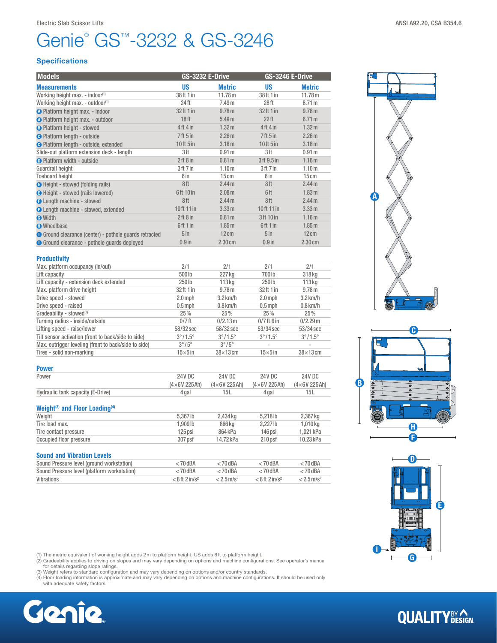## Genie<sup>®</sup> GS<sup>™</sup>-3232 & GS-3246 Electric Slab Scissor Lifts **ANSI A92.20, CSA B354.6** ANSI A92.20, CSA B354.6

#### **Specifications**

| <b>Models</b>                                                 | <b>GS-3232 E-Drive</b> |                   | <b>GS-3246 E-Drive</b>          |                   |
|---------------------------------------------------------------|------------------------|-------------------|---------------------------------|-------------------|
| <b>Measurements</b>                                           | <b>US</b>              | <b>Metric</b>     | <b>US</b>                       | <b>Metric</b>     |
| Working height max. - indoor <sup>(1)</sup>                   | 38 ft 1 in             | 11.78 m           | 38ft 1 in                       | 11.78 m           |
| Working height max. - outdoor <sup>(1)</sup>                  | 24 ft                  | 7.49 <sub>m</sub> | 28 <sub>ft</sub>                | 8.71 m            |
| O Platform height max. - indoor                               | 32 ft 1 in             | 9.78 m            | 32ft 1 in                       | 9.78 m            |
| <b>A</b> Platform height max. - outdoor                       | 18 <sub>ft</sub>       | 5.49 m            | 22 <sup>th</sup>                | 6.71 m            |
| <b>B</b> Platform height - stowed                             | $4ft$ 4 in             | 1.32 m            | $4ft$ 4 in                      | 1.32 m            |
| <b>O</b> Platform length - outside                            | 7 <sup>ft</sup> 5 in   | 2.26 <sub>m</sub> | 7 <sup>ft</sup> 5 <sup>in</sup> | 2.26 <sub>m</sub> |
| <b>O</b> Platform length - outside, extended                  | 10ft 5 in              | 3.18 <sub>m</sub> | 10ft 5 in                       | 3.18 <sub>m</sub> |
| Slide-out platform extension deck - length                    | 3ft                    | 0.91 <sub>m</sub> | 3ft                             | 0.91 <sub>m</sub> |
| <b>O</b> Platform width - outside                             | 2ft8in                 | 0.81 <sub>m</sub> | 3ft 9.5 in                      | 1.16 <sub>m</sub> |
| Guardrail height                                              | 3ft 7in                | 1.10 <sub>m</sub> | 3ft 7in                         | 1.10 <sub>m</sub> |
| <b>Toeboard height</b>                                        | 6 in                   | 15cm              | 6 in                            | 15cm              |
| <b>B</b> Height - stowed (folding rails)                      | 8ft                    | 2.44 <sub>m</sub> | 8ft                             | 2.44 <sub>m</sub> |
| <b>B</b> Height - stowed (rails lowered)                      | 6ft 10 in              | 2.08 <sub>m</sub> | 6ft                             | 1.83 <sub>m</sub> |
| <b>O</b> Length machine - stowed                              | 8ft                    | 2.44 <sub>m</sub> | 8ft                             | 2.44 <sub>m</sub> |
| <b>O</b> Length machine - stowed, extended                    | 10ft 11 in             | 3.33 m            | 10ft 11 in                      | 3.33 m            |
| <b>O</b> Width                                                | 2ft8in                 | 0.81 <sub>m</sub> | 3ft 10 in                       | 1.16 <sub>m</sub> |
| <b>O</b> Wheelbase                                            | 6ft 1 in               | 1.85 <sub>m</sub> | 6ft1in                          | 1.85 m            |
| <b>O</b> Ground clearance (center) - pothole guards retracted | 5 <sub>in</sub>        | $12 \text{ cm}$   | 5 <sub>in</sub>                 | $12 \text{ cm}$   |
| <b>O</b> Ground clearance - pothole quards deployed           | $0.9$ in               | $2.30 \text{ cm}$ | $0.9$ in                        | $2.30 \text{ cm}$ |

| <b>Productivity</b>                                  |                         |                         |                          |                         |
|------------------------------------------------------|-------------------------|-------------------------|--------------------------|-------------------------|
| Max. platform occupancy (in/out)                     | 2/1                     | 2/1                     | 2/1                      | 2/1                     |
| Lift capacity                                        | 500lb                   | 227 kg                  | 700 lb                   | 318 kg                  |
| Lift capacity - extension deck extended              | 250lb                   | 113 <sub>kq</sub>       | 250 lb                   | 113 <sub>kq</sub>       |
| Max. platform drive height                           | 32 ft 1 in              | 9.78 m                  | 32ft 1 in                | 9.78 m                  |
| Drive speed - stowed                                 | $2.0$ mph               | $3.2$ km/h              | $2.0$ mph                | $3.2$ km/h              |
| Drive speed - raised                                 | $0.5$ mph               | $0.8$ km/h              | $0.5$ mph                | $0.8$ km/h              |
| Gradeability - stowed <sup>(2)</sup>                 | 25%                     | 25%                     | 25%                      | 25%                     |
| Turning radius - inside/outside                      | $0/7$ ft                | 0/2.13m                 | $0/7$ ft 6 in            | $0/2.29$ m              |
| Lifting speed - raise/lower                          | 58/32 sec               | 58/32 sec               | 53/34 sec                | 53/34 sec               |
| Tilt sensor activation (front to back/side to side)  | $3^{\circ}/1.5^{\circ}$ | $3^{\circ}/1.5^{\circ}$ | $3^{\circ}/1.5^{\circ}$  | $3^{\circ}/1.5^{\circ}$ |
| Max. outrigger leveling (front to back/side to side) | $3^{\circ}/5^{\circ}$   | $3^{\circ}/5^{\circ}$   | $\overline{\phantom{a}}$ | $\sim$                  |
| Tires - solid non-marking                            | $15\times 5$ in         | $38\times13$ cm         | $15\times 5$ in          | $38\times13$ cm         |

| Power                                                  | <b>24V DC</b>          | 24V DC                 | 24V DC              | 24V DC              |
|--------------------------------------------------------|------------------------|------------------------|---------------------|---------------------|
|                                                        | $(4 \times 6V 225 Ah)$ | $(4 \times 6V 225 Ah)$ | $(4\times6V 225Ah)$ | $(4\times6V 225Ah)$ |
| Hydraulic tank capacity (E-Drive)                      | 4 gal                  | 15 L                   | 4 gal               | 15L                 |
| Weight <sup>(3)</sup> and Floor Loading <sup>(4)</sup> |                        |                        |                     |                     |
| Weight                                                 | 5.367 lb               | 2,434 kg               | 5.218 <sub>lb</sub> | 2,367 kg            |
|                                                        |                        |                        |                     |                     |
|                                                        | 1.909 lb               | 866 ka                 | $2.227$ lb          | 1,010 kg            |
| Tire load max.<br>Tire contact pressure                | 125 psi                | 864 kPa                | 146 psi             | 1.021 kPa           |

| <b>Sound and Vibration Levels</b>           |                                |                          |                              |                          |
|---------------------------------------------|--------------------------------|--------------------------|------------------------------|--------------------------|
| Sound Pressure level (ground workstation)   | $< 70$ dBA                     | $< 70$ dBA               | $< 70$ dBA                   | $< 70$ dBA               |
| Sound Pressure level (platform workstation) | $< 70$ dBA                     | $< 70$ dBA               | $< 70$ dBA                   | $<$ 70 dBA               |
| Vibrations                                  | $< 8$ ft $2$ in/s <sup>2</sup> | $< 2.5$ m/s <sup>2</sup> | $< 8$ ft 2 in/s <sup>2</sup> | $< 2.5$ m/s <sup>2</sup> |

(1) The metric equivalent of working height adds 2m to platform height. US adds 6ft to platform height.

(2) Gradeability applies to driving on slopes and may vary depending on options and machine configurations. See operator's manual<br>for details regarding slope ratings.<br>(3) Weight refers to standard configuration and may var

(4) Floor loading information is approximate and may vary depending on options and machine configurations. It should be used only with adequate safety factors.











# **QUALITY**BY AGN